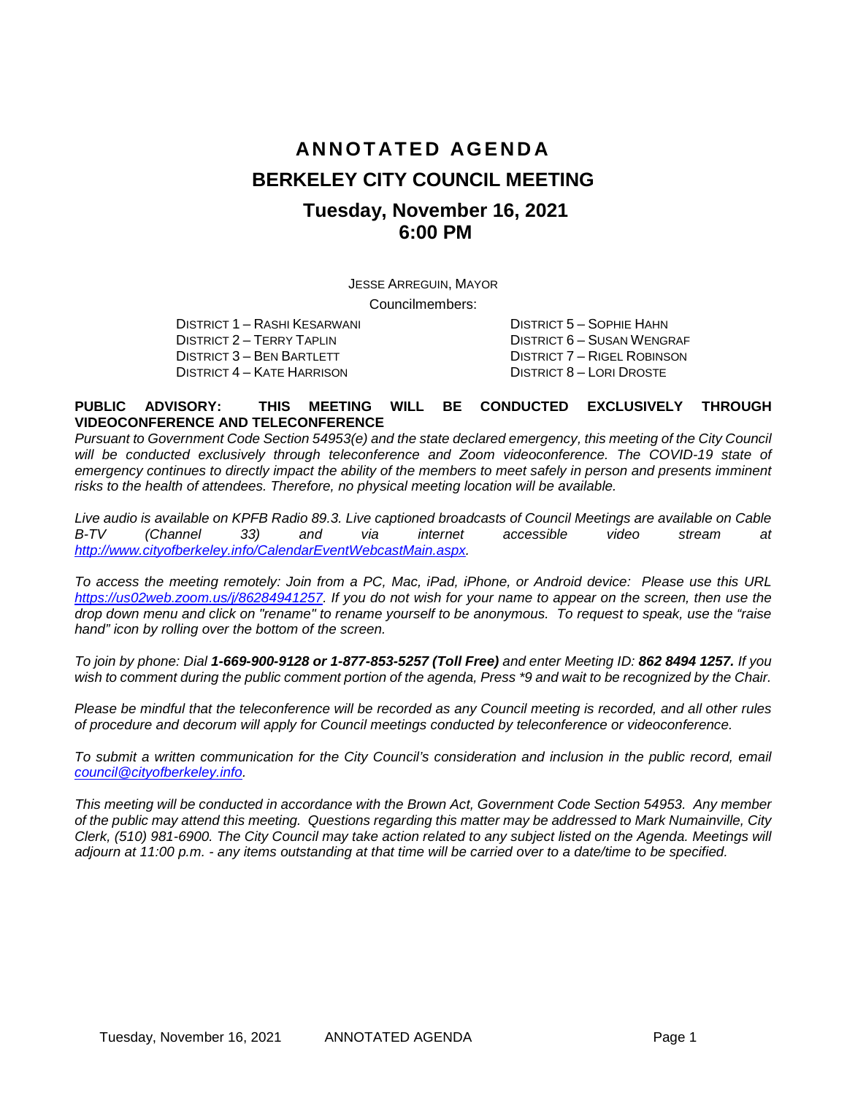# **ANNOTATED AGENDA BERKELEY CITY COUNCIL MEETING Tuesday, November 16, 2021 6:00 PM**

JESSE ARREGUIN, MAYOR

Councilmembers:

DISTRICT 1 – RASHI KESARWANI DISTRICT 5 – SOPHIE HAHN DISTRICT 2 – TERRY TAPLIN DISTRICT 6 – SUSAN WENGRAF DISTRICT 3 – BEN BARTLETT DISTRICT 7 – RIGEL ROBINSON<br>DISTRICT 4 – KATE HARRISON DISTRICT 8 – LORI DROSTE DISTRICT 4 – KATE HARRISON

#### **PUBLIC ADVISORY: THIS MEETING WILL BE CONDUCTED EXCLUSIVELY THROUGH VIDEOCONFERENCE AND TELECONFERENCE**

*Pursuant to Government Code Section 54953(e) and the state declared emergency, this meeting of the City Council* will be conducted exclusively through teleconference and Zoom videoconference. The COVID-19 state of *emergency continues to directly impact the ability of the members to meet safely in person and presents imminent* risks to the health of attendees. Therefore, no physical meeting location will be available.

*Live audio is available on KPFB Radio 89.3. Live captioned broadcasts of Council Meetings are available on Cable B-TV (Channel 33) and via internet accessible video stream at [http://www.cityofberkeley.info/CalendarEventWebcastMain.aspx.](http://www.cityofberkeley.info/CalendarEventWebcastMain.aspx)*

*To access the meeting remotely: Join from a PC, Mac, iPad, iPhone, or Android device: Please use this URL [https://us02web.zoom.us/j/86284941257.](https://us02web.zoom.us/j/86284941257) If you do not wish for your name to appear on the screen, then use the drop down menu and click on "rename" to rename yourself to be anonymous. To request to speak, use the "raise hand" icon by rolling over the bottom of the screen.* 

*To join by phone: Dial 1-669-900-9128 or 1-877-853-5257 (Toll Free) and enter Meeting ID: 862 8494 1257. If you*  wish to comment during the public comment portion of the agenda, Press \*9 and wait to be recognized by the Chair.

*Please be mindful that the teleconference will be recorded as any Council meeting is recorded, and all other rules of procedure and decorum will apply for Council meetings conducted by teleconference or videoconference.*

*To submit a written communication for the City Council's consideration and inclusion in the public record, email [council@cityofberkeley.info.](mailto:council@cityofberkeley.info)*

*This meeting will be conducted in accordance with the Brown Act, Government Code Section 54953. Any member of the public may attend this meeting. Questions regarding this matter may be addressed to Mark Numainville, City Clerk, (510) 981-6900. The City Council may take action related to any subject listed on the Agenda. Meetings will adjourn at 11:00 p.m. - any items outstanding at that time will be carried over to a date/time to be specified.*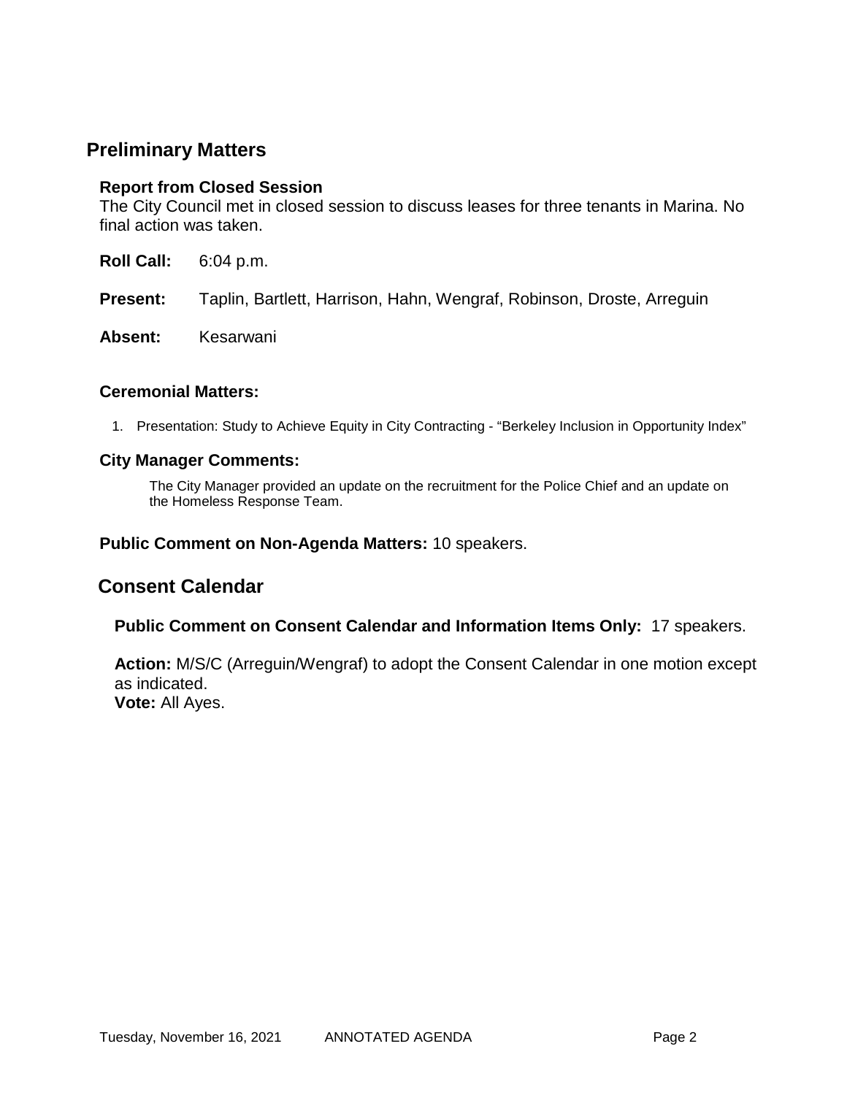### **Preliminary Matters**

#### **Report from Closed Session**

The City Council met in closed session to discuss leases for three tenants in Marina. No final action was taken.

- **Roll Call:** 6:04 p.m.
- **Present:** Taplin, Bartlett, Harrison, Hahn, Wengraf, Robinson, Droste, Arreguin
- Absent: Kesarwani

#### **Ceremonial Matters:**

1. Presentation: Study to Achieve Equity in City Contracting - "Berkeley Inclusion in Opportunity Index"

#### **City Manager Comments:**

The City Manager provided an update on the recruitment for the Police Chief and an update on the Homeless Response Team.

#### **Public Comment on Non-Agenda Matters:** 10 speakers.

### **Consent Calendar**

**Public Comment on Consent Calendar and Information Items Only:** 17 speakers.

**Action:** M/S/C (Arreguin/Wengraf) to adopt the Consent Calendar in one motion except as indicated. **Vote:** All Ayes.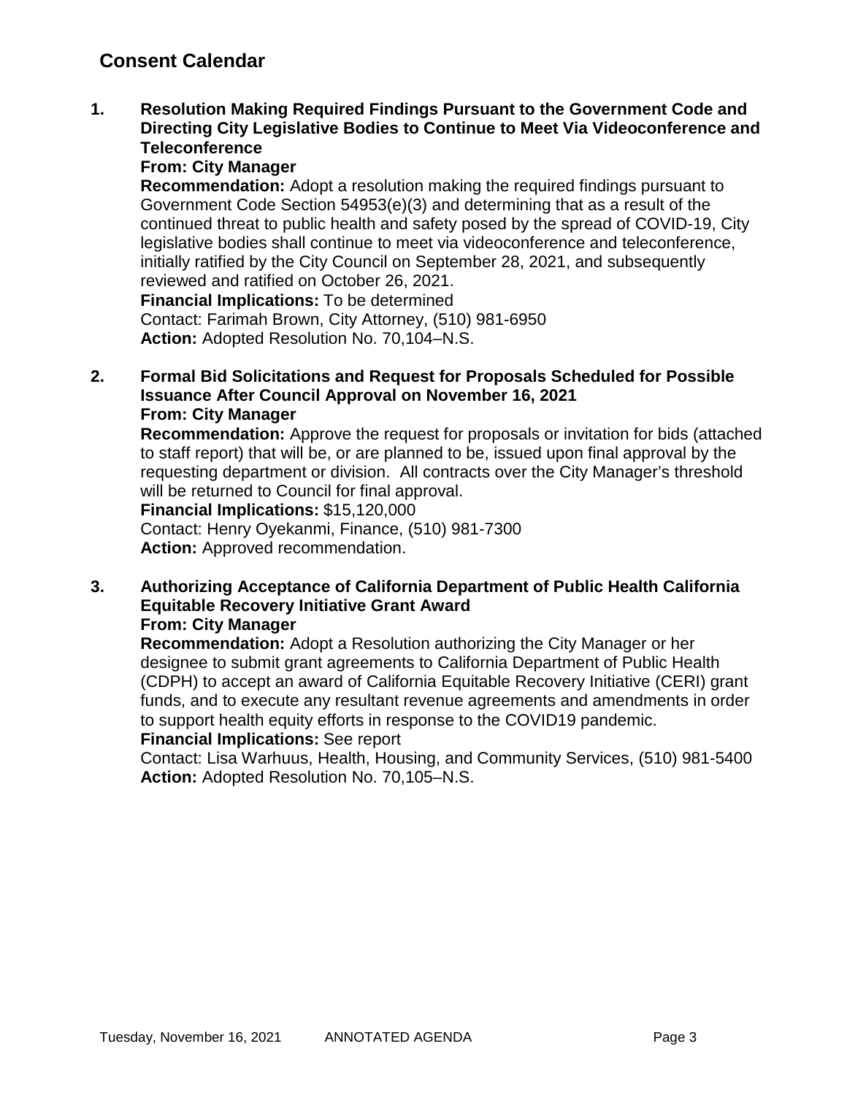**1. Resolution Making Required Findings Pursuant to the Government Code and Directing City Legislative Bodies to Continue to Meet Via Videoconference and Teleconference**

### **From: City Manager**

**Recommendation:** Adopt a resolution making the required findings pursuant to Government Code Section 54953(e)(3) and determining that as a result of the continued threat to public health and safety posed by the spread of COVID-19, City legislative bodies shall continue to meet via videoconference and teleconference, initially ratified by the City Council on September 28, 2021, and subsequently reviewed and ratified on October 26, 2021.

**Financial Implications:** To be determined Contact: Farimah Brown, City Attorney, (510) 981-6950 **Action:** Adopted Resolution No. 70,104–N.S.

**2. Formal Bid Solicitations and Request for Proposals Scheduled for Possible Issuance After Council Approval on November 16, 2021 From: City Manager**

**Recommendation:** Approve the request for proposals or invitation for bids (attached to staff report) that will be, or are planned to be, issued upon final approval by the requesting department or division. All contracts over the City Manager's threshold will be returned to Council for final approval.

**Financial Implications:** \$15,120,000

Contact: Henry Oyekanmi, Finance, (510) 981-7300 **Action:** Approved recommendation.

**3. Authorizing Acceptance of California Department of Public Health California Equitable Recovery Initiative Grant Award From: City Manager**

**Recommendation:** Adopt a Resolution authorizing the City Manager or her designee to submit grant agreements to California Department of Public Health (CDPH) to accept an award of California Equitable Recovery Initiative (CERI) grant funds, and to execute any resultant revenue agreements and amendments in order to support health equity efforts in response to the COVID19 pandemic.

#### **Financial Implications:** See report

Contact: Lisa Warhuus, Health, Housing, and Community Services, (510) 981-5400 **Action:** Adopted Resolution No. 70,105–N.S.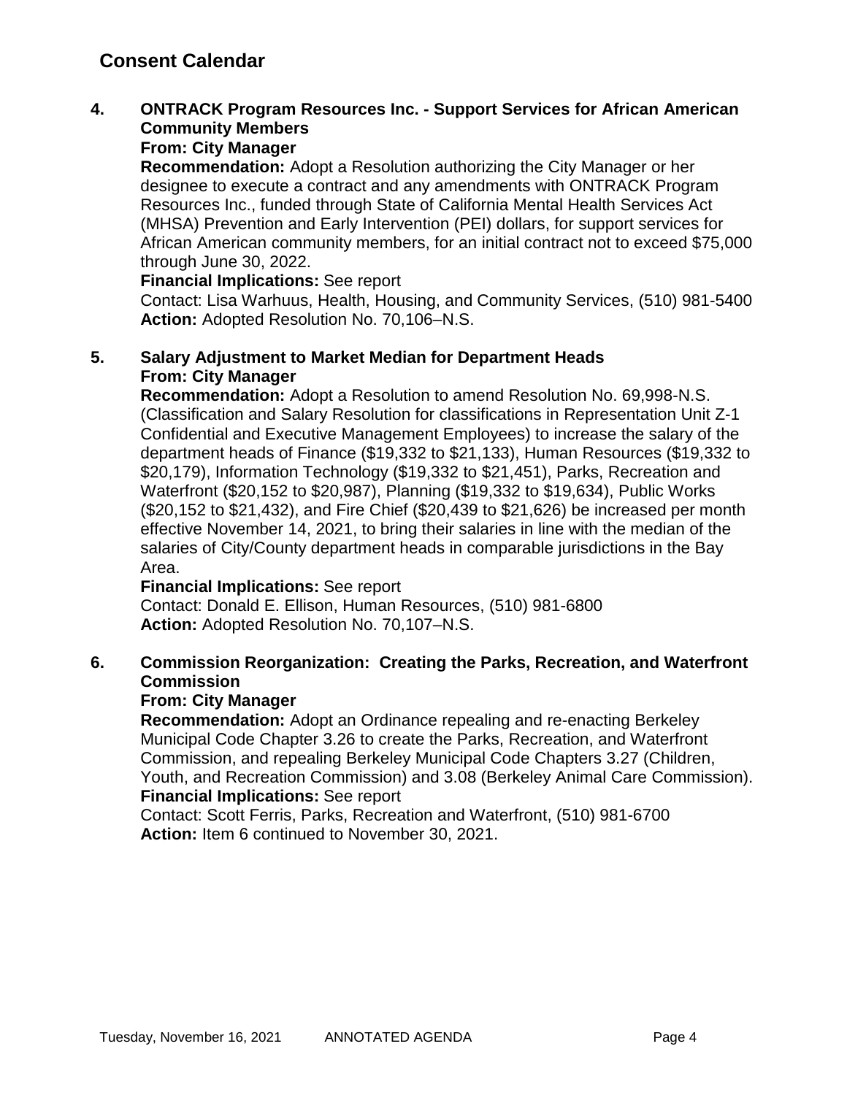### **4. ONTRACK Program Resources Inc. - Support Services for African American Community Members**

### **From: City Manager**

**Recommendation:** Adopt a Resolution authorizing the City Manager or her designee to execute a contract and any amendments with ONTRACK Program Resources Inc., funded through State of California Mental Health Services Act (MHSA) Prevention and Early Intervention (PEI) dollars, for support services for African American community members, for an initial contract not to exceed \$75,000 through June 30, 2022.

#### **Financial Implications:** See report

Contact: Lisa Warhuus, Health, Housing, and Community Services, (510) 981-5400 **Action:** Adopted Resolution No. 70,106–N.S.

### **5. Salary Adjustment to Market Median for Department Heads From: City Manager**

**Recommendation:** Adopt a Resolution to amend Resolution No. 69,998-N.S. (Classification and Salary Resolution for classifications in Representation Unit Z-1 Confidential and Executive Management Employees) to increase the salary of the department heads of Finance (\$19,332 to \$21,133), Human Resources (\$19,332 to \$20,179), Information Technology (\$19,332 to \$21,451), Parks, Recreation and Waterfront (\$20,152 to \$20,987), Planning (\$19,332 to \$19,634), Public Works (\$20,152 to \$21,432), and Fire Chief (\$20,439 to \$21,626) be increased per month effective November 14, 2021, to bring their salaries in line with the median of the salaries of City/County department heads in comparable jurisdictions in the Bay Area.

#### **Financial Implications:** See report

Contact: Donald E. Ellison, Human Resources, (510) 981-6800 **Action:** Adopted Resolution No. 70,107–N.S.

### **6. Commission Reorganization: Creating the Parks, Recreation, and Waterfront Commission**

### **From: City Manager**

**Recommendation:** Adopt an Ordinance repealing and re-enacting Berkeley Municipal Code Chapter 3.26 to create the Parks, Recreation, and Waterfront Commission, and repealing Berkeley Municipal Code Chapters 3.27 (Children, Youth, and Recreation Commission) and 3.08 (Berkeley Animal Care Commission). **Financial Implications:** See report

Contact: Scott Ferris, Parks, Recreation and Waterfront, (510) 981-6700 **Action:** Item 6 continued to November 30, 2021.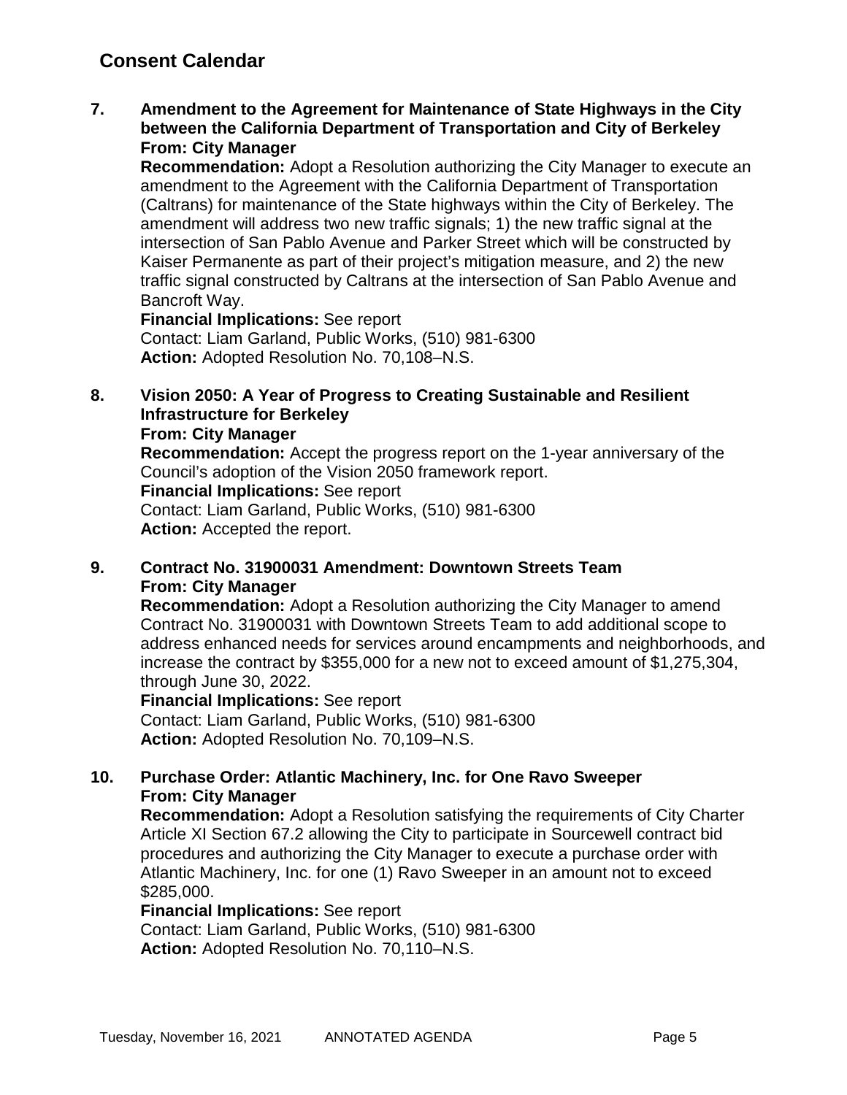**7. Amendment to the Agreement for Maintenance of State Highways in the City between the California Department of Transportation and City of Berkeley From: City Manager**

**Recommendation:** Adopt a Resolution authorizing the City Manager to execute an amendment to the Agreement with the California Department of Transportation (Caltrans) for maintenance of the State highways within the City of Berkeley. The amendment will address two new traffic signals; 1) the new traffic signal at the intersection of San Pablo Avenue and Parker Street which will be constructed by Kaiser Permanente as part of their project's mitigation measure, and 2) the new traffic signal constructed by Caltrans at the intersection of San Pablo Avenue and Bancroft Way.

**Financial Implications:** See report Contact: Liam Garland, Public Works, (510) 981-6300 **Action:** Adopted Resolution No. 70,108–N.S.

**8. Vision 2050: A Year of Progress to Creating Sustainable and Resilient Infrastructure for Berkeley**

**From: City Manager**

**Recommendation:** Accept the progress report on the 1-year anniversary of the Council's adoption of the Vision 2050 framework report. **Financial Implications:** See report Contact: Liam Garland, Public Works, (510) 981-6300 **Action:** Accepted the report.

#### **9. Contract No. 31900031 Amendment: Downtown Streets Team From: City Manager**

**Recommendation:** Adopt a Resolution authorizing the City Manager to amend Contract No. 31900031 with Downtown Streets Team to add additional scope to address enhanced needs for services around encampments and neighborhoods, and increase the contract by \$355,000 for a new not to exceed amount of \$1,275,304, through June 30, 2022.

**Financial Implications:** See report Contact: Liam Garland, Public Works, (510) 981-6300 **Action:** Adopted Resolution No. 70,109–N.S.

### **10. Purchase Order: Atlantic Machinery, Inc. for One Ravo Sweeper From: City Manager**

**Recommendation:** Adopt a Resolution satisfying the requirements of City Charter Article XI Section 67.2 allowing the City to participate in Sourcewell contract bid procedures and authorizing the City Manager to execute a purchase order with Atlantic Machinery, Inc. for one (1) Ravo Sweeper in an amount not to exceed \$285,000.

**Financial Implications:** See report

Contact: Liam Garland, Public Works, (510) 981-6300 **Action:** Adopted Resolution No. 70,110–N.S.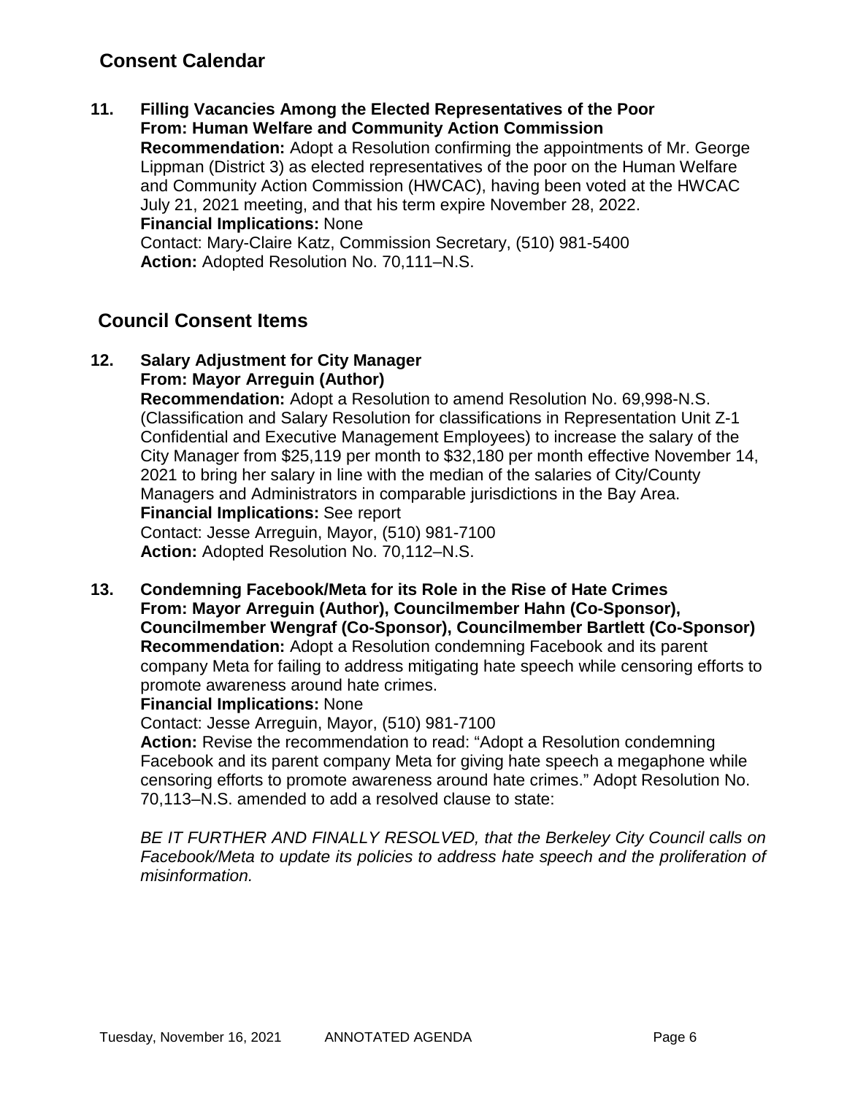**11. Filling Vacancies Among the Elected Representatives of the Poor From: Human Welfare and Community Action Commission Recommendation:** Adopt a Resolution confirming the appointments of Mr. George Lippman (District 3) as elected representatives of the poor on the Human Welfare and Community Action Commission (HWCAC), having been voted at the HWCAC July 21, 2021 meeting, and that his term expire November 28, 2022. **Financial Implications:** None Contact: Mary-Claire Katz, Commission Secretary, (510) 981-5400 **Action:** Adopted Resolution No. 70,111–N.S.

## **Council Consent Items**

**12. Salary Adjustment for City Manager From: Mayor Arreguin (Author)**

> **Recommendation:** Adopt a Resolution to amend Resolution No. 69,998-N.S. (Classification and Salary Resolution for classifications in Representation Unit Z-1 Confidential and Executive Management Employees) to increase the salary of the City Manager from \$25,119 per month to \$32,180 per month effective November 14, 2021 to bring her salary in line with the median of the salaries of City/County Managers and Administrators in comparable jurisdictions in the Bay Area. **Financial Implications:** See report Contact: Jesse Arreguin, Mayor, (510) 981-7100

**Action:** Adopted Resolution No. 70,112–N.S.

**13. Condemning Facebook/Meta for its Role in the Rise of Hate Crimes From: Mayor Arreguin (Author), Councilmember Hahn (Co-Sponsor), Councilmember Wengraf (Co-Sponsor), Councilmember Bartlett (Co-Sponsor) Recommendation:** Adopt a Resolution condemning Facebook and its parent company Meta for failing to address mitigating hate speech while censoring efforts to promote awareness around hate crimes.

#### **Financial Implications:** None

Contact: Jesse Arreguin, Mayor, (510) 981-7100

**Action:** Revise the recommendation to read: "Adopt a Resolution condemning Facebook and its parent company Meta for giving hate speech a megaphone while censoring efforts to promote awareness around hate crimes." Adopt Resolution No. 70,113–N.S. amended to add a resolved clause to state:

*BE IT FURTHER AND FINALLY RESOLVED, that the Berkeley City Council calls on Facebook/Meta to update its policies to address hate speech and the proliferation of misinformation.*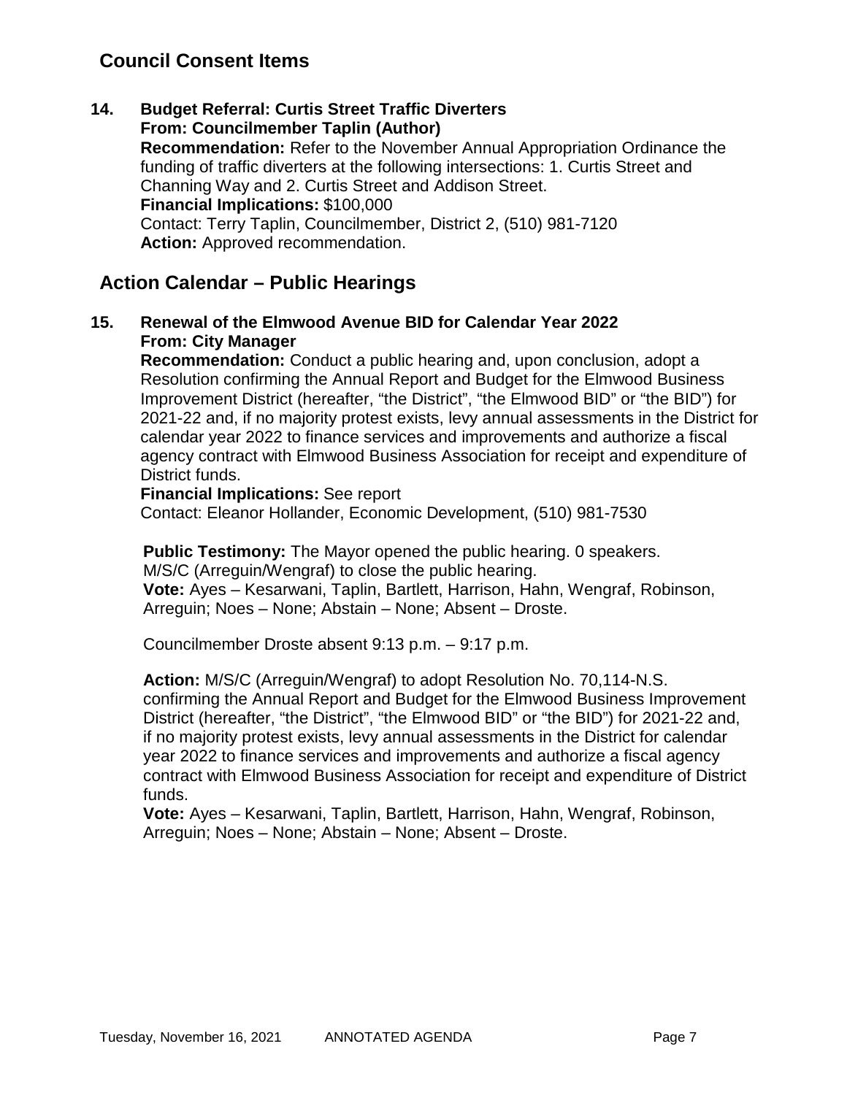## **Council Consent Items**

**14. Budget Referral: Curtis Street Traffic Diverters From: Councilmember Taplin (Author) Recommendation:** Refer to the November Annual Appropriation Ordinance the funding of traffic diverters at the following intersections: 1. Curtis Street and Channing Way and 2. Curtis Street and Addison Street. **Financial Implications:** \$100,000 Contact: Terry Taplin, Councilmember, District 2, (510) 981-7120 **Action:** Approved recommendation.

## **Action Calendar – Public Hearings**

### **15. Renewal of the Elmwood Avenue BID for Calendar Year 2022 From: City Manager**

**Recommendation:** Conduct a public hearing and, upon conclusion, adopt a Resolution confirming the Annual Report and Budget for the Elmwood Business Improvement District (hereafter, "the District", "the Elmwood BID" or "the BID") for 2021-22 and, if no majority protest exists, levy annual assessments in the District for calendar year 2022 to finance services and improvements and authorize a fiscal agency contract with Elmwood Business Association for receipt and expenditure of District funds.

**Financial Implications:** See report Contact: Eleanor Hollander, Economic Development, (510) 981-7530

**Public Testimony:** The Mayor opened the public hearing. 0 speakers.

M/S/C (Arreguin/Wengraf) to close the public hearing.

**Vote:** Ayes – Kesarwani, Taplin, Bartlett, Harrison, Hahn, Wengraf, Robinson, Arreguin; Noes – None; Abstain – None; Absent – Droste.

Councilmember Droste absent 9:13 p.m. – 9:17 p.m.

**Action:** M/S/C (Arreguin/Wengraf) to adopt Resolution No. 70,114-N.S. confirming the Annual Report and Budget for the Elmwood Business Improvement District (hereafter, "the District", "the Elmwood BID" or "the BID") for 2021-22 and, if no majority protest exists, levy annual assessments in the District for calendar year 2022 to finance services and improvements and authorize a fiscal agency contract with Elmwood Business Association for receipt and expenditure of District funds.

**Vote:** Ayes – Kesarwani, Taplin, Bartlett, Harrison, Hahn, Wengraf, Robinson, Arreguin; Noes – None; Abstain – None; Absent – Droste.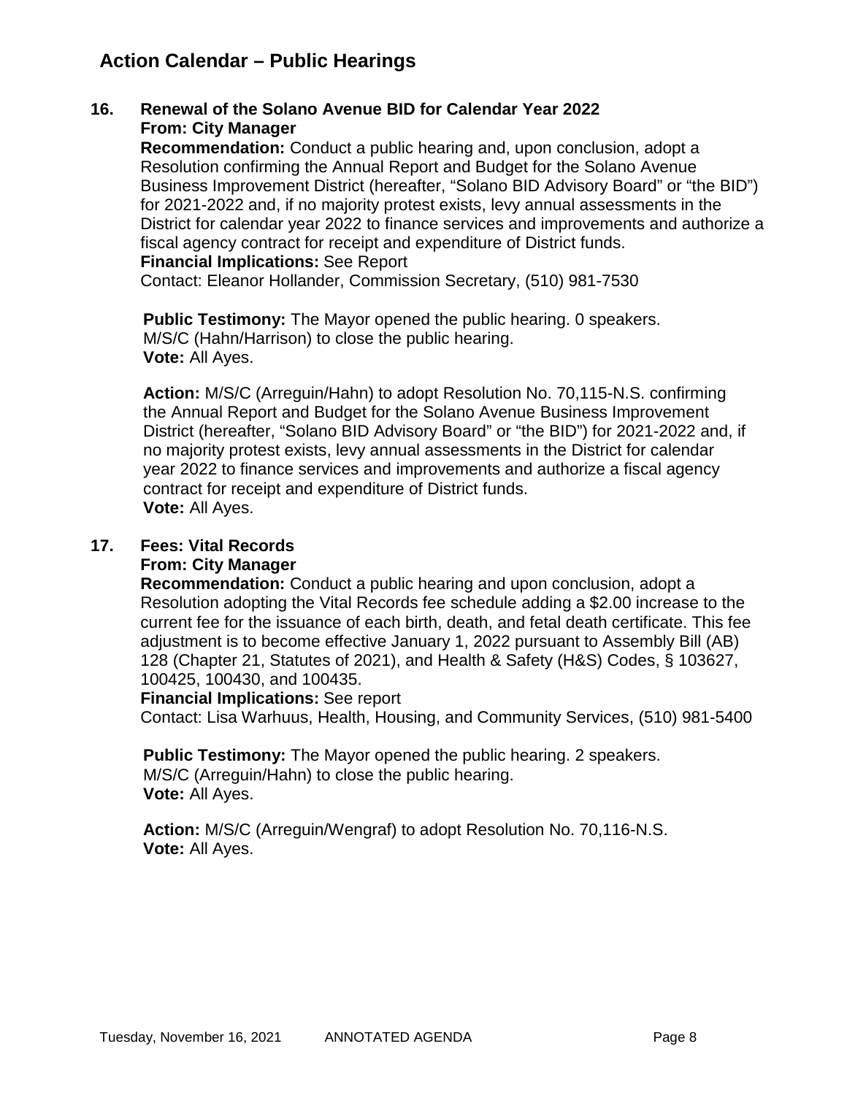## **Action Calendar – Public Hearings**

### **16. Renewal of the Solano Avenue BID for Calendar Year 2022 From: City Manager**

**Recommendation:** Conduct a public hearing and, upon conclusion, adopt a Resolution confirming the Annual Report and Budget for the Solano Avenue Business Improvement District (hereafter, "Solano BID Advisory Board" or "the BID") for 2021-2022 and, if no majority protest exists, levy annual assessments in the District for calendar year 2022 to finance services and improvements and authorize a fiscal agency contract for receipt and expenditure of District funds. **Financial Implications:** See Report

Contact: Eleanor Hollander, Commission Secretary, (510) 981-7530

**Public Testimony:** The Mayor opened the public hearing. 0 speakers. M/S/C (Hahn/Harrison) to close the public hearing. **Vote:** All Ayes.

**Action:** M/S/C (Arreguin/Hahn) to adopt Resolution No. 70,115-N.S. confirming the Annual Report and Budget for the Solano Avenue Business Improvement District (hereafter, "Solano BID Advisory Board" or "the BID") for 2021-2022 and, if no majority protest exists, levy annual assessments in the District for calendar year 2022 to finance services and improvements and authorize a fiscal agency contract for receipt and expenditure of District funds. **Vote:** All Ayes.

### **17. Fees: Vital Records**

#### **From: City Manager**

**Recommendation:** Conduct a public hearing and upon conclusion, adopt a Resolution adopting the Vital Records fee schedule adding a \$2.00 increase to the current fee for the issuance of each birth, death, and fetal death certificate. This fee adjustment is to become effective January 1, 2022 pursuant to Assembly Bill (AB) 128 (Chapter 21, Statutes of 2021), and Health & Safety (H&S) Codes, § 103627, 100425, 100430, and 100435.

#### **Financial Implications:** See report

Contact: Lisa Warhuus, Health, Housing, and Community Services, (510) 981-5400

**Public Testimony:** The Mayor opened the public hearing. 2 speakers. M/S/C (Arreguin/Hahn) to close the public hearing. **Vote:** All Ayes.

**Action:** M/S/C (Arreguin/Wengraf) to adopt Resolution No. 70,116-N.S. **Vote:** All Ayes.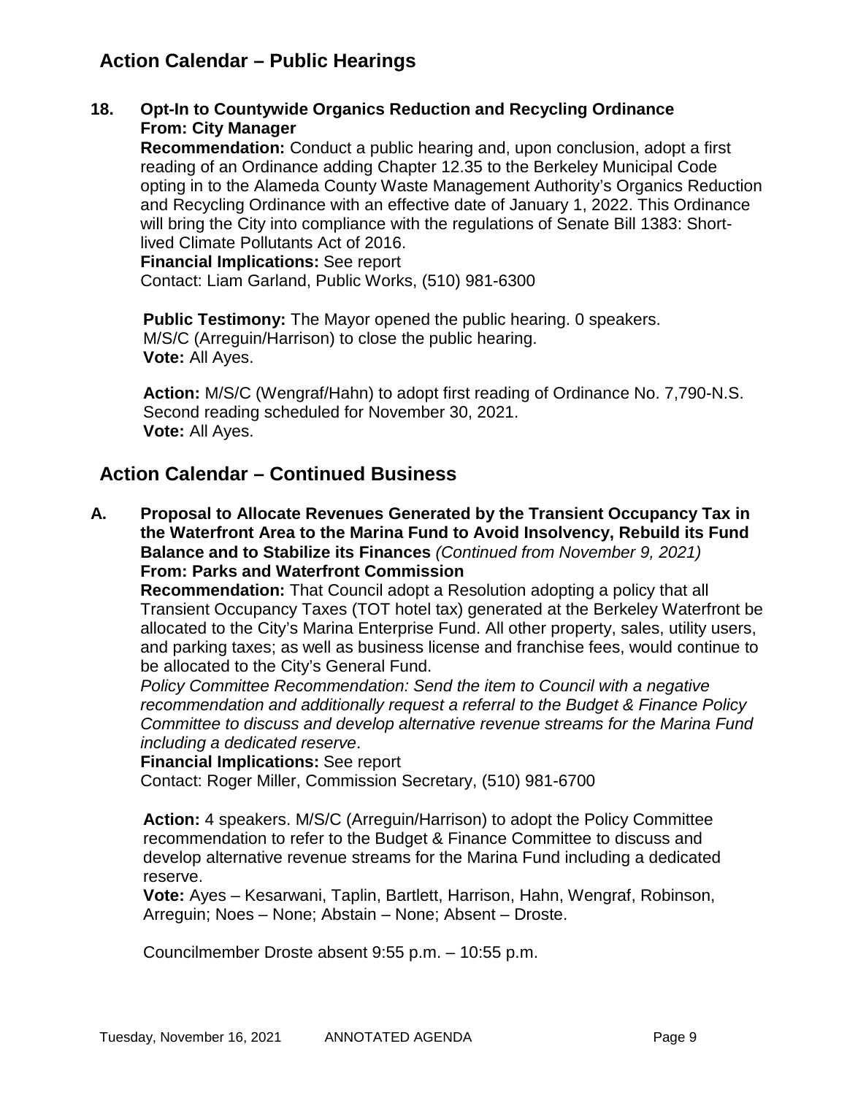## **Action Calendar – Public Hearings**

### **18. Opt-In to Countywide Organics Reduction and Recycling Ordinance From: City Manager**

**Recommendation:** Conduct a public hearing and, upon conclusion, adopt a first reading of an Ordinance adding Chapter 12.35 to the Berkeley Municipal Code opting in to the Alameda County Waste Management Authority's Organics Reduction and Recycling Ordinance with an effective date of January 1, 2022. This Ordinance will bring the City into compliance with the regulations of Senate Bill 1383: Shortlived Climate Pollutants Act of 2016.

**Financial Implications:** See report Contact: Liam Garland, Public Works, (510) 981-6300

**Public Testimony:** The Mayor opened the public hearing. 0 speakers. M/S/C (Arreguin/Harrison) to close the public hearing. **Vote:** All Ayes.

**Action:** M/S/C (Wengraf/Hahn) to adopt first reading of Ordinance No. 7,790-N.S. Second reading scheduled for November 30, 2021. **Vote:** All Ayes.

## **Action Calendar – Continued Business**

**A. Proposal to Allocate Revenues Generated by the Transient Occupancy Tax in the Waterfront Area to the Marina Fund to Avoid Insolvency, Rebuild its Fund Balance and to Stabilize its Finances** *(Continued from November 9, 2021)* **From: Parks and Waterfront Commission**

**Recommendation:** That Council adopt a Resolution adopting a policy that all Transient Occupancy Taxes (TOT hotel tax) generated at the Berkeley Waterfront be allocated to the City's Marina Enterprise Fund. All other property, sales, utility users, and parking taxes; as well as business license and franchise fees, would continue to be allocated to the City's General Fund.

*Policy Committee Recommendation: Send the item to Council with a negative recommendation and additionally request a referral to the Budget & Finance Policy Committee to discuss and develop alternative revenue streams for the Marina Fund including a dedicated reserve*.

**Financial Implications:** See report

Contact: Roger Miller, Commission Secretary, (510) 981-6700

**Action:** 4 speakers. M/S/C (Arreguin/Harrison) to adopt the Policy Committee recommendation to refer to the Budget & Finance Committee to discuss and develop alternative revenue streams for the Marina Fund including a dedicated reserve.

**Vote:** Ayes – Kesarwani, Taplin, Bartlett, Harrison, Hahn, Wengraf, Robinson, Arreguin; Noes – None; Abstain – None; Absent – Droste.

Councilmember Droste absent 9:55 p.m. – 10:55 p.m.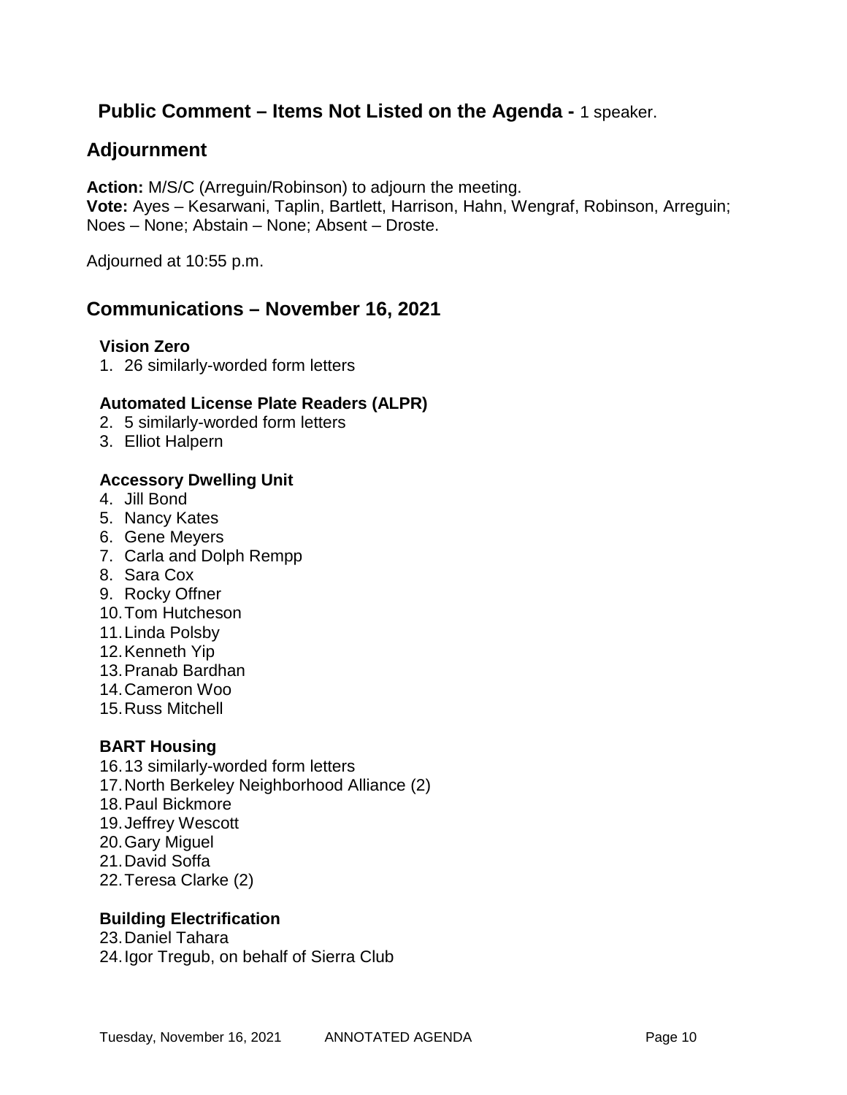## **Public Comment – Items Not Listed on the Agenda -** 1 speaker.

## **Adjournment**

**Action:** M/S/C (Arreguin/Robinson) to adjourn the meeting. **Vote:** Ayes – Kesarwani, Taplin, Bartlett, Harrison, Hahn, Wengraf, Robinson, Arreguin; Noes – None; Abstain – None; Absent – Droste.

Adjourned at 10:55 p.m.

### **Communications – November 16, 2021**

#### **Vision Zero**

1. 26 similarly-worded form letters

### **Automated License Plate Readers (ALPR)**

- 2. 5 similarly-worded form letters
- 3. Elliot Halpern

#### **Accessory Dwelling Unit**

- 4. Jill Bond
- 5. Nancy Kates
- 6. Gene Meyers
- 7. Carla and Dolph Rempp
- 8. Sara Cox
- 9. Rocky Offner
- 10.Tom Hutcheson
- 11.Linda Polsby
- 12.Kenneth Yip
- 13.Pranab Bardhan
- 14.Cameron Woo
- 15.Russ Mitchell

#### **BART Housing**

- 16.13 similarly-worded form letters
- 17.North Berkeley Neighborhood Alliance (2)
- 18.Paul Bickmore
- 19.Jeffrey Wescott
- 20.Gary Miguel
- 21.David Soffa
- 22.Teresa Clarke (2)

### **Building Electrification**

- 23.Daniel Tahara
- 24.Igor Tregub, on behalf of Sierra Club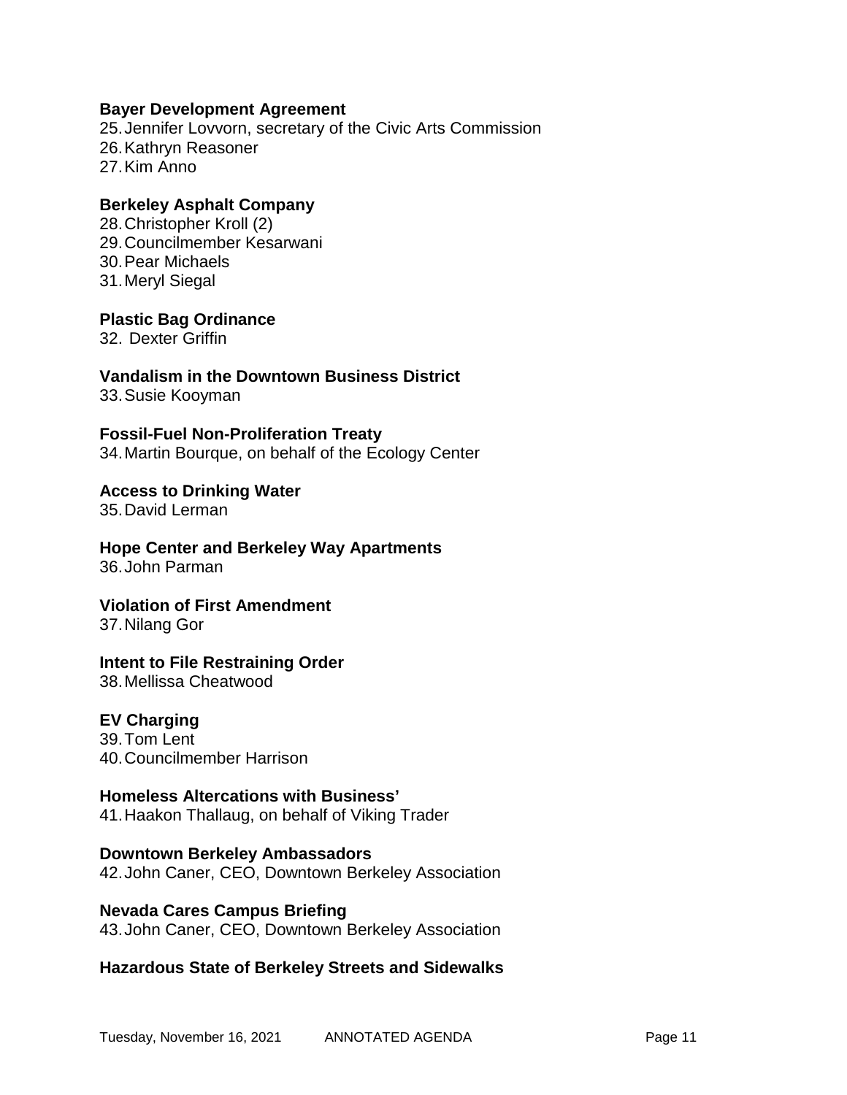#### **Bayer Development Agreement**

25.Jennifer Lovvorn, secretary of the Civic Arts Commission 26.Kathryn Reasoner 27.Kim Anno

#### **Berkeley Asphalt Company**

28.Christopher Kroll (2) 29.Councilmember Kesarwani 30.Pear Michaels 31.Meryl Siegal

**Plastic Bag Ordinance**

32. Dexter Griffin

**Vandalism in the Downtown Business District** 33.Susie Kooyman

**Fossil-Fuel Non-Proliferation Treaty** 34.Martin Bourque, on behalf of the Ecology Center

**Access to Drinking Water** 35.David Lerman

**Hope Center and Berkeley Way Apartments** 36.John Parman

**Violation of First Amendment** 37.Nilang Gor

#### **Intent to File Restraining Order**

38.Mellissa Cheatwood

#### **EV Charging**

39.Tom Lent 40.Councilmember Harrison

#### **Homeless Altercations with Business'**

41.Haakon Thallaug, on behalf of Viking Trader

**Downtown Berkeley Ambassadors** 42.John Caner, CEO, Downtown Berkeley Association

**Nevada Cares Campus Briefing** 43.John Caner, CEO, Downtown Berkeley Association

**Hazardous State of Berkeley Streets and Sidewalks**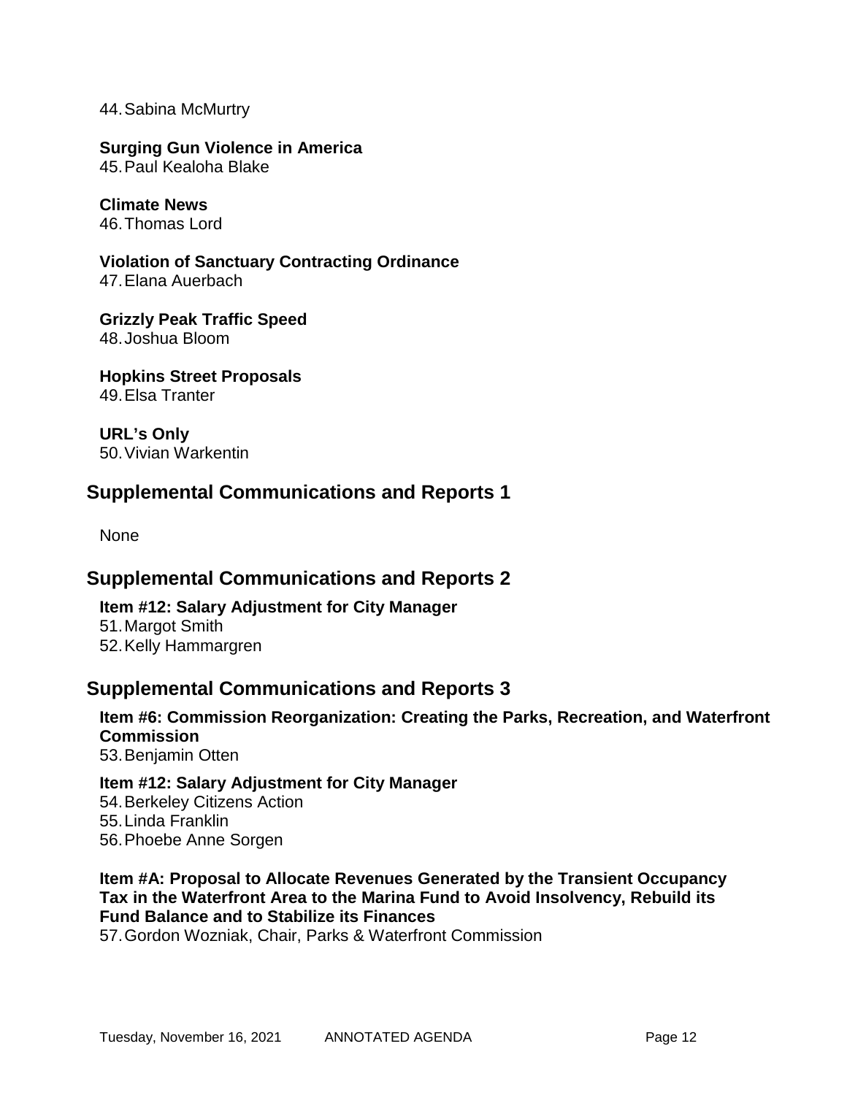44.Sabina McMurtry

**Surging Gun Violence in America** 45.Paul Kealoha Blake

**Climate News** 46.Thomas Lord

**Violation of Sanctuary Contracting Ordinance** 47.Elana Auerbach

**Grizzly Peak Traffic Speed** 48.Joshua Bloom

**Hopkins Street Proposals** 49.Elsa Tranter

**URL's Only** 50.Vivian Warkentin

## **Supplemental Communications and Reports 1**

None

### **Supplemental Communications and Reports 2**

**Item #12: Salary Adjustment for City Manager** 51.Margot Smith 52.Kelly Hammargren

### **Supplemental Communications and Reports 3**

**Item #6: Commission Reorganization: Creating the Parks, Recreation, and Waterfront Commission** 53.Benjamin Otten

**Item #12: Salary Adjustment for City Manager** 54.Berkeley Citizens Action 55.Linda Franklin 56.Phoebe Anne Sorgen

**Item #A: Proposal to Allocate Revenues Generated by the Transient Occupancy Tax in the Waterfront Area to the Marina Fund to Avoid Insolvency, Rebuild its Fund Balance and to Stabilize its Finances**

57.Gordon Wozniak, Chair, Parks & Waterfront Commission